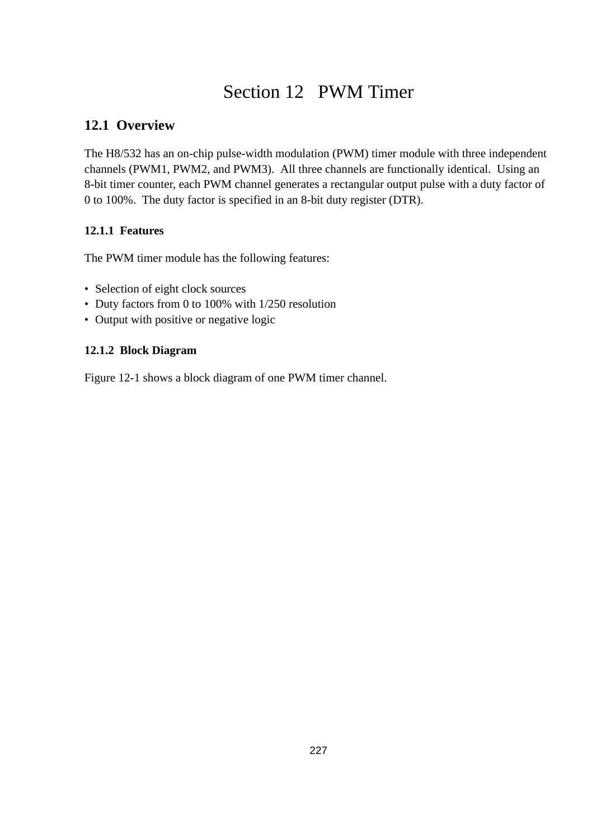# Section 12 PWM Timer

## **12.1 Overview**

The H8/532 has an on-chip pulse-width modulation (PWM) timer module with three independent channels (PWM1, PWM2, and PWM3). All three channels are functionally identical. Using an 8-bit timer counter, each PWM channel generates a rectangular output pulse with a duty factor of 0 to 100%. The duty factor is specified in an 8-bit duty register (DTR).

#### **12.1.1 Features**

The PWM timer module has the following features:

- Selection of eight clock sources
- Duty factors from 0 to 100% with 1/250 resolution
- Output with positive or negative logic

#### **12.1.2 Block Diagram**

Figure 12-1 shows a block diagram of one PWM timer channel.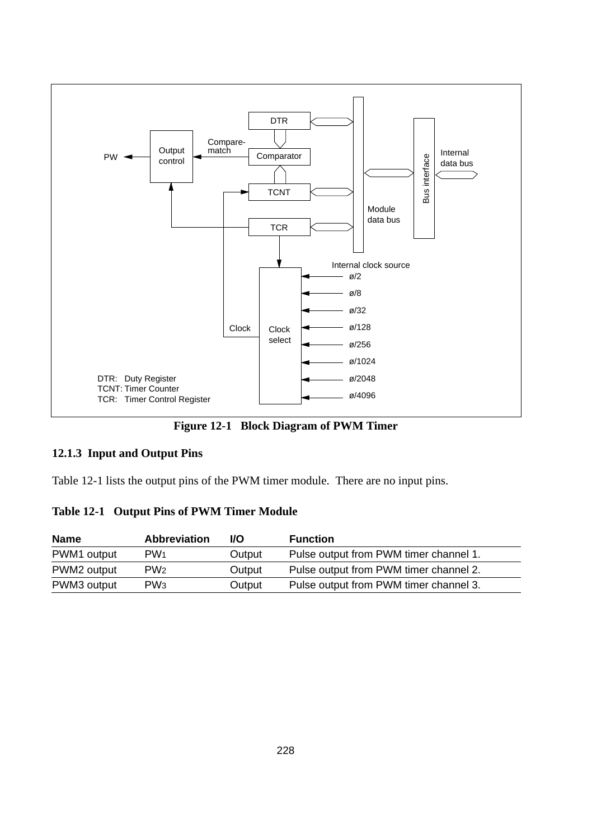

**Figure 12-1 Block Diagram of PWM Timer**

#### **12.1.3 Input and Output Pins**

Table 12-1 lists the output pins of the PWM timer module. There are no input pins.

#### **Table 12-1 Output Pins of PWM Timer Module**

| <b>Name</b> | <b>Abbreviation</b> | I/O    | <b>Function</b>                        |
|-------------|---------------------|--------|----------------------------------------|
| PWM1 output | PW <sub>1</sub>     | Output | Pulse output from PWM timer channel 1. |
| PWM2 output | PW <sub>2</sub>     | Output | Pulse output from PWM timer channel 2. |
| PWM3 output | PW <sub>3</sub>     | Output | Pulse output from PWM timer channel 3. |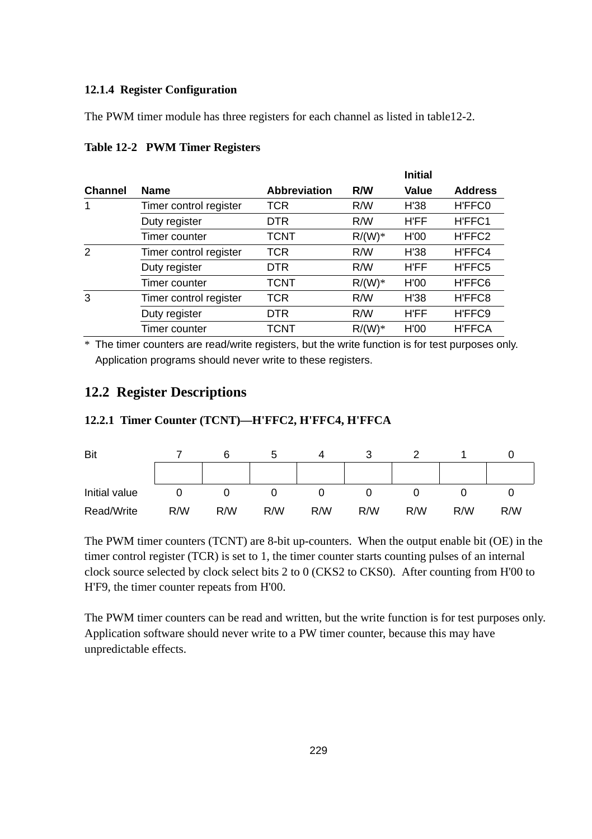#### **12.1.4 Register Configuration**

The PWM timer module has three registers for each channel as listed in table12-2.

|                |                        |                     |           | <b>Initial</b> |                |
|----------------|------------------------|---------------------|-----------|----------------|----------------|
| <b>Channel</b> | <b>Name</b>            | <b>Abbreviation</b> | R/W       | <b>Value</b>   | <b>Address</b> |
| 1              | Timer control register | TCR                 | R/W       | H'38           | H'FFC0         |
|                | Duty register          | <b>DTR</b>          | R/W       | H'FF           | H'FFC1         |
|                | Timer counter          | TCNT                | $R/(W)*$  | H'00           | H'FFC2         |
| $\overline{2}$ | Timer control register | TCR                 | R/W       | H'38           | H'FFC4         |
|                | Duty register          | <b>DTR</b>          | R/W       | H'FF           | H'FFC5         |
|                | Timer counter          | TCNT                | $R/(W)^*$ | H'00           | H'FFC6         |
| 3              | Timer control register | TCR                 | R/W       | H'38           | H'FFC8         |
|                | Duty register          | <b>DTR</b>          | R/W       | H'FF           | H'FFC9         |
|                | Timer counter          | TCNT                | $R/(W)*$  | H'00           | <b>H'FFCA</b>  |

#### **Table 12-2 PWM Timer Registers**

\* The timer counters are read/write registers, but the write function is for test purposes only. Application programs should never write to these registers.

### **12.2 Register Descriptions**

#### **12.2.1 Timer Counter (TCNT)—H'FFC2, H'FFC4, H'FFCA**



The PWM timer counters (TCNT) are 8-bit up-counters. When the output enable bit (OE) in the timer control register (TCR) is set to 1, the timer counter starts counting pulses of an internal clock source selected by clock select bits 2 to 0 (CKS2 to CKS0). After counting from H'00 to H'F9, the timer counter repeats from H'00.

The PWM timer counters can be read and written, but the write function is for test purposes only. Application software should never write to a PW timer counter, because this may have unpredictable effects.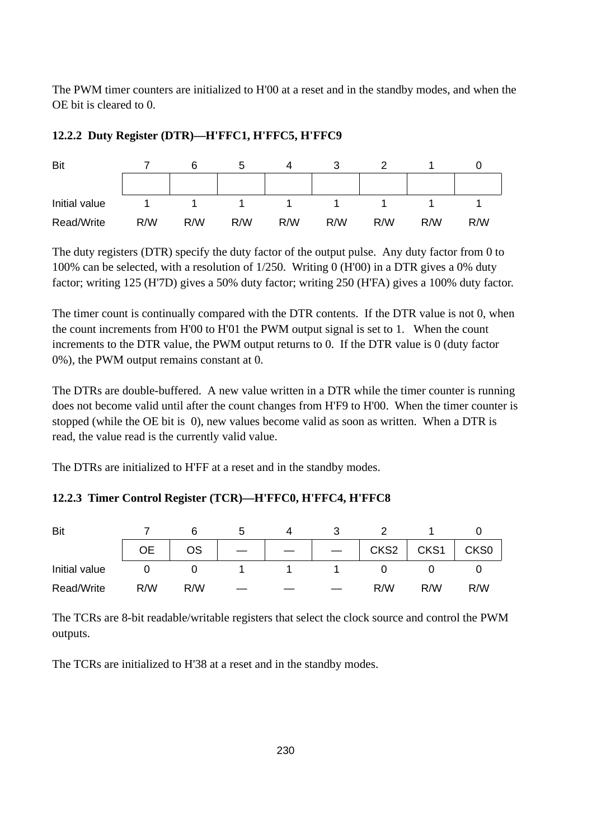The PWM timer counters are initialized to H'00 at a reset and in the standby modes, and when the OE bit is cleared to 0.

| Bit           |     | 6   |     | Д   | J   |     |     |     |
|---------------|-----|-----|-----|-----|-----|-----|-----|-----|
|               |     |     |     |     |     |     |     |     |
| Initial value |     |     |     |     |     |     |     |     |
| Read/Write    | R/W | R/W | R/W | R/W | R/W | R/W | R/W | R/W |

#### **12.2.2 Duty Register (DTR)—H'FFC1, H'FFC5, H'FFC9**

The duty registers (DTR) specify the duty factor of the output pulse. Any duty factor from 0 to 100% can be selected, with a resolution of 1/250. Writing 0 (H'00) in a DTR gives a 0% duty factor; writing 125 (H'7D) gives a 50% duty factor; writing 250 (H'FA) gives a 100% duty factor.

The timer count is continually compared with the DTR contents. If the DTR value is not 0, when the count increments from H'00 to H'01 the PWM output signal is set to 1. When the count increments to the DTR value, the PWM output returns to 0. If the DTR value is 0 (duty factor 0%), the PWM output remains constant at 0.

The DTRs are double-buffered. A new value written in a DTR while the timer counter is running does not become valid until after the count changes from H'F9 to H'00. When the timer counter is stopped (while the OE bit is 0), new values become valid as soon as written. When a DTR is read, the value read is the currently valid value.

The DTRs are initialized to H'FF at a reset and in the standby modes.

#### **12.2.3 Timer Control Register (TCR)—H'FFC0, H'FFC4, H'FFC8**

| Bit           |     |     |  |                  |      |                  |
|---------------|-----|-----|--|------------------|------|------------------|
|               | OE  | ΟS  |  | CKS <sub>2</sub> | CKS1 | CKS <sub>0</sub> |
| Initial value |     |     |  |                  |      |                  |
| Read/Write    | R/W | R/W |  | R/W              | R/W  | R/W              |

The TCRs are 8-bit readable/writable registers that select the clock source and control the PWM outputs.

The TCRs are initialized to H'38 at a reset and in the standby modes.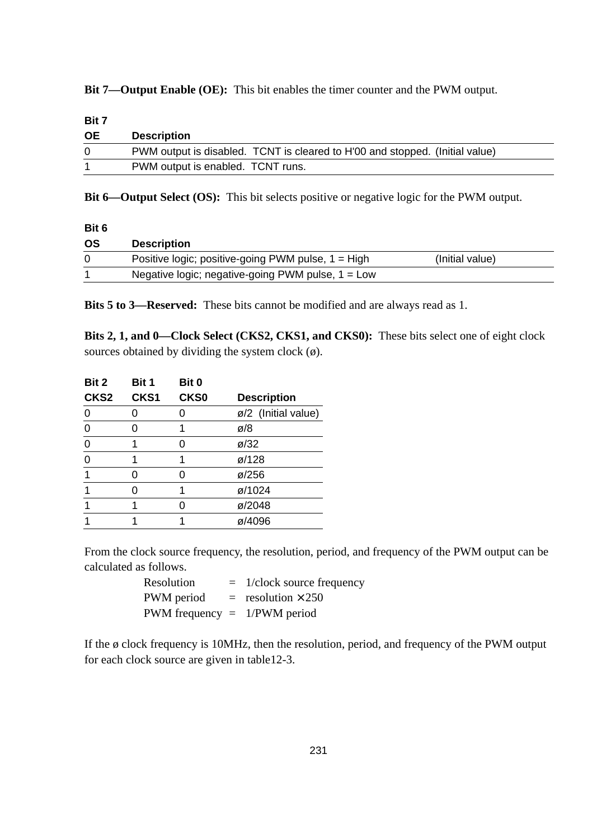**Bit 7—Output Enable (OE):** This bit enables the timer counter and the PWM output.

| Bit 7     |                                                                              |
|-----------|------------------------------------------------------------------------------|
| <b>OE</b> | <b>Description</b>                                                           |
| $\Omega$  | PWM output is disabled. TCNT is cleared to H'00 and stopped. (Initial value) |
|           | PWM output is enabled. TCNT runs.                                            |
|           |                                                                              |

**Bit 6—Output Select (OS):** This bit selects positive or negative logic for the PWM output.

| Bit 6 |                                                      |                 |  |
|-------|------------------------------------------------------|-----------------|--|
| ΟS    | <b>Description</b>                                   |                 |  |
|       | Positive logic; positive-going PWM pulse, $1 = High$ | (Initial value) |  |
|       | Negative logic; negative-going PWM pulse, $1 = Low$  |                 |  |

**Bits 5 to 3—Reserved:** These bits cannot be modified and are always read as 1.

**Bits 2, 1, and 0—Clock Select (CKS2, CKS1, and CKS0):** These bits select one of eight clock sources obtained by dividing the system clock  $(\emptyset)$ .

| Bit 2            | Bit 1 | Bit 0            |                     |  |
|------------------|-------|------------------|---------------------|--|
| CKS <sub>2</sub> | CKS1  | CKS <sub>0</sub> | <b>Description</b>  |  |
|                  |       |                  | ø/2 (Initial value) |  |
| $\Omega$         |       | 1                | ø/8                 |  |
| $\Omega$         |       | n                | $\varnothing$ /32   |  |
| $\Omega$         |       |                  | $\varnothing$ /128  |  |
|                  |       | ი                | $\varnothing$ /256  |  |
|                  |       | 1                | ø/1024              |  |
|                  |       |                  | ø/2048              |  |
|                  |       |                  | ø/4096              |  |
|                  |       |                  |                     |  |

From the clock source frequency, the resolution, period, and frequency of the PWM output can be calculated as follows.

| Resolution                     | $=$ 1/clock source frequency |
|--------------------------------|------------------------------|
| PWM period                     | $=$ resolution $\times$ 250  |
| PWM frequency $= 1/PWM$ period |                              |

If the ø clock frequency is 10MHz, then the resolution, period, and frequency of the PWM output for each clock source are given in table12-3.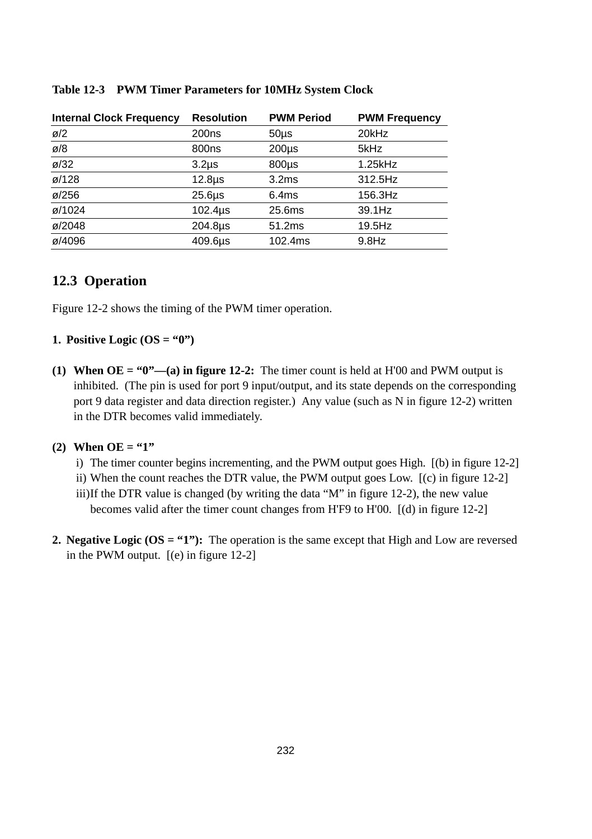| <b>Internal Clock Frequency</b> | <b>Resolution</b> | <b>PWM Period</b> | <b>PWM Frequency</b> |
|---------------------------------|-------------------|-------------------|----------------------|
| $\varnothing$ /2                | 200 <sub>ns</sub> | $50µ$ s           | 20kHz                |
| ø/8                             | 800ns             | $200\mu s$        | 5kHz                 |
| $\varnothing$ /32               | $3.2µ$ s          | $800\mu s$        | 1.25kHz              |
| ø/128                           | $12.8µ$ s         | 3.2ms             | 312.5Hz              |
| $\varnothing$ /256              | $25.6µ$ s         | 6.4ms             | 156.3Hz              |
| ø/1024                          | $102.4µ$ s        | 25.6ms            | 39.1Hz               |
| ø/2048                          | 204.8µs           | 51.2ms            | $19.5$ Hz            |
| ø/4096                          | 409.6µs           | 102.4ms           | $9.8$ Hz             |

#### **Table 12-3 PWM Timer Parameters for 10MHz System Clock**

### **12.3 Operation**

Figure 12-2 shows the timing of the PWM timer operation.

#### **1. Positive Logic (OS =**  $(0)$ **)**

**(1) When**  $OE = "0"$ **—(a) in figure 12-2:** The timer count is held at H $'00$  and PWM output is inhibited. (The pin is used for port 9 input/output, and its state depends on the corresponding port 9 data register and data direction register.) Any value (such as N in figure 12-2) written in the DTR becomes valid immediately.

#### (2) When  $OE = "1"$

- i) The timer counter begins incrementing, and the PWM output goes High. [(b) in figure 12-2]
- ii) When the count reaches the DTR value, the PWM output goes Low. [(c) in figure 12-2]
- iii)If the DTR value is changed (by writing the data "M" in figure 12-2), the new value becomes valid after the timer count changes from H'F9 to H'00. [(d) in figure 12-2]
- **2. Negative Logic (OS = "1"):** The operation is the same except that High and Low are reversed in the PWM output. [(e) in figure 12-2]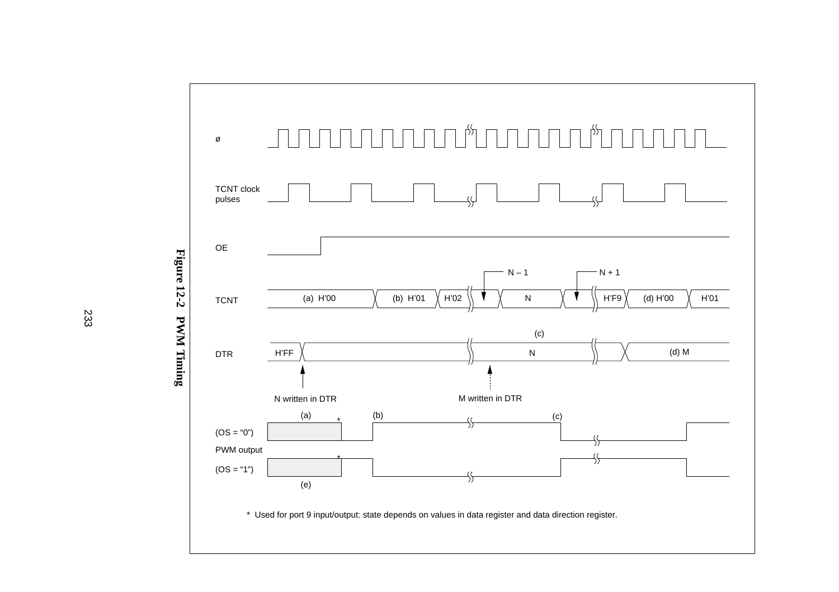

Figure 12-2 PWM Timing **Figure 12-2 PWM Timing**